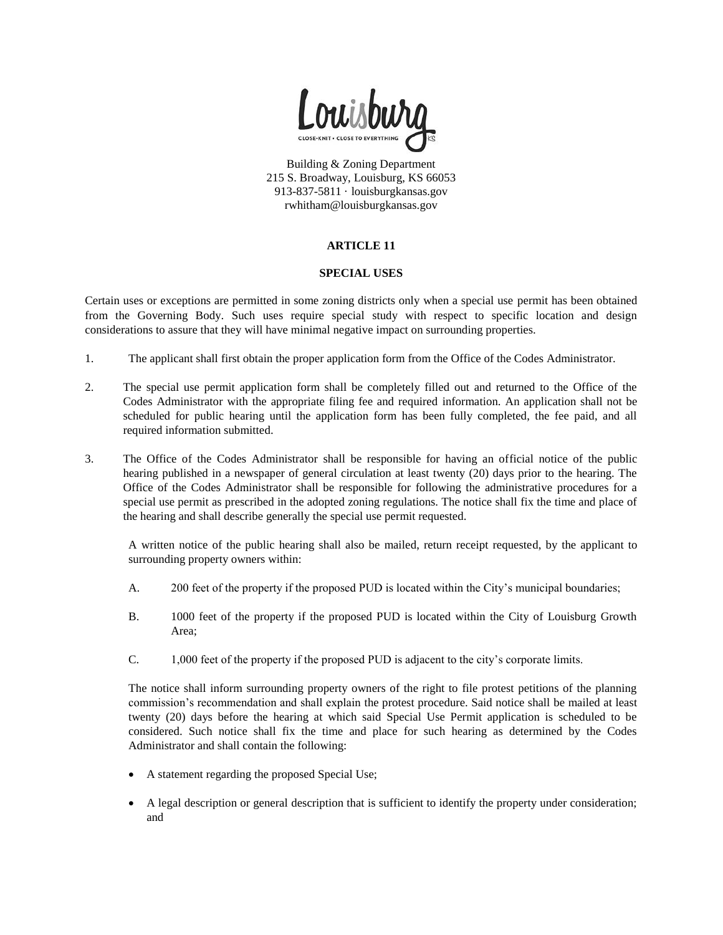

Building & Zoning Department 215 S. Broadway, Louisburg, KS 66053 913-837-5811 · louisburgkansas.gov rwhitham@louisburgkansas.gov

## **ARTICLE 11**

### **SPECIAL USES**

Certain uses or exceptions are permitted in some zoning districts only when a special use permit has been obtained from the Governing Body. Such uses require special study with respect to specific location and design considerations to assure that they will have minimal negative impact on surrounding properties.

- 1. The applicant shall first obtain the proper application form from the Office of the Codes Administrator.
- 2. The special use permit application form shall be completely filled out and returned to the Office of the Codes Administrator with the appropriate filing fee and required information. An application shall not be scheduled for public hearing until the application form has been fully completed, the fee paid, and all required information submitted.
- 3. The Office of the Codes Administrator shall be responsible for having an official notice of the public hearing published in a newspaper of general circulation at least twenty (20) days prior to the hearing. The Office of the Codes Administrator shall be responsible for following the administrative procedures for a special use permit as prescribed in the adopted zoning regulations. The notice shall fix the time and place of the hearing and shall describe generally the special use permit requested.

A written notice of the public hearing shall also be mailed, return receipt requested, by the applicant to surrounding property owners within:

- A. 200 feet of the property if the proposed PUD is located within the City's municipal boundaries;
- B. 1000 feet of the property if the proposed PUD is located within the City of Louisburg Growth Area;
- C. 1,000 feet of the property if the proposed PUD is adjacent to the city's corporate limits.

The notice shall inform surrounding property owners of the right to file protest petitions of the planning commission's recommendation and shall explain the protest procedure. Said notice shall be mailed at least twenty (20) days before the hearing at which said Special Use Permit application is scheduled to be considered. Such notice shall fix the time and place for such hearing as determined by the Codes Administrator and shall contain the following:

- A statement regarding the proposed Special Use;
- A legal description or general description that is sufficient to identify the property under consideration; and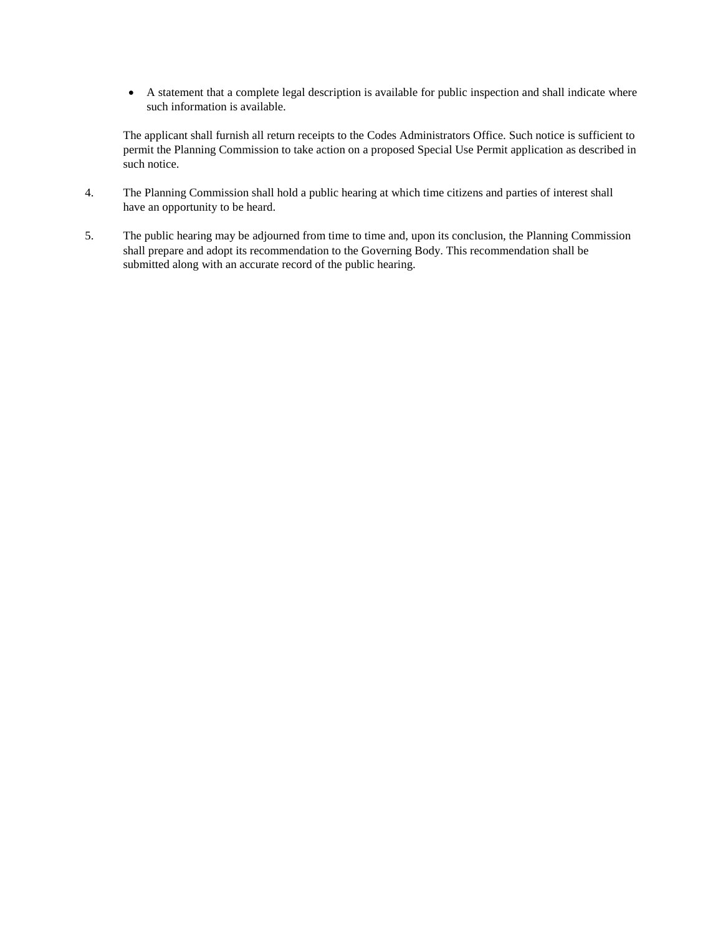A statement that a complete legal description is available for public inspection and shall indicate where such information is available.

The applicant shall furnish all return receipts to the Codes Administrators Office. Such notice is sufficient to permit the Planning Commission to take action on a proposed Special Use Permit application as described in such notice.

- 4. The Planning Commission shall hold a public hearing at which time citizens and parties of interest shall have an opportunity to be heard.
- 5. The public hearing may be adjourned from time to time and, upon its conclusion, the Planning Commission shall prepare and adopt its recommendation to the Governing Body. This recommendation shall be submitted along with an accurate record of the public hearing.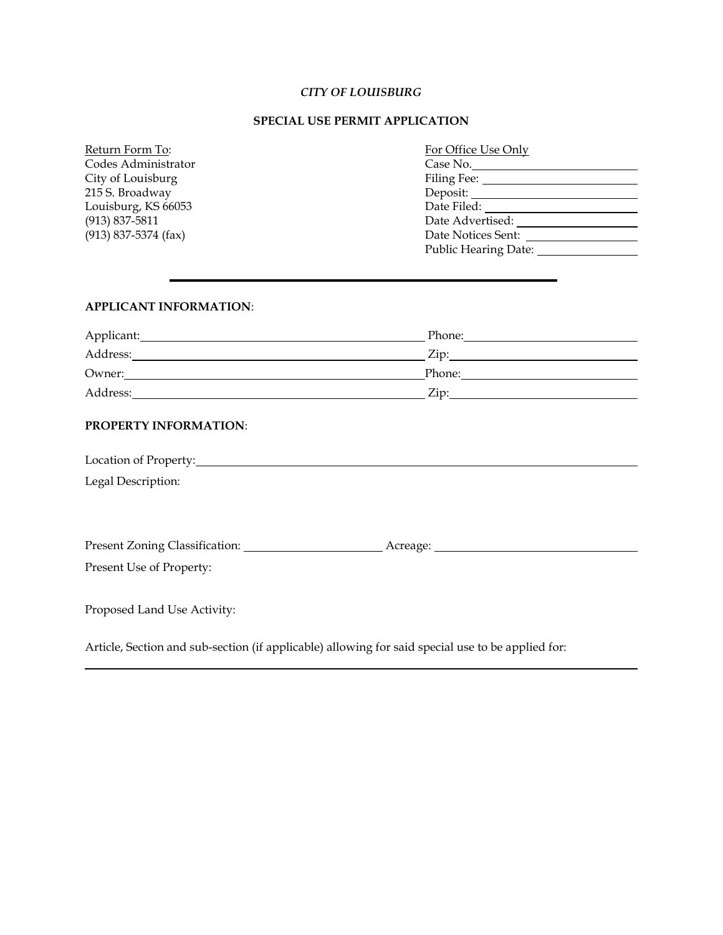### *CITY OF LOUISBURG*

### **SPECIAL USE PERMIT APPLICATION**

| Return Form To:          | For Office Use Onl |  |
|--------------------------|--------------------|--|
| Codes Administrator      | Case No.           |  |
| City of Louisburg        | Filing Fee:        |  |
| 215 S. Broadway          | Deposit:           |  |
| Louisburg, KS 66053      | Date Filed:        |  |
| $(913) 837 - 5811$       | Date Advertised:   |  |
| $(913) 837 - 5374$ (fax) | Date Notices Sent: |  |

# For Office Use Only Public Hearing Date:

### **APPLICANT INFORMATION**:

| Applicant: | Phone:             |
|------------|--------------------|
| Address:   | $\overline{L}$ ip: |
| Owner:     | Phone:             |
| Address:   | $Z$ ip:            |

### **PROPERTY INFORMATION**:

| Location of Property:                                                                             |          |  |
|---------------------------------------------------------------------------------------------------|----------|--|
| Legal Description:                                                                                |          |  |
|                                                                                                   |          |  |
|                                                                                                   |          |  |
| Present Zoning Classification:                                                                    | Acreage: |  |
| Present Use of Property:                                                                          |          |  |
|                                                                                                   |          |  |
| Proposed Land Use Activity:                                                                       |          |  |
|                                                                                                   |          |  |
| Article, Section and sub-section (if applicable) allowing for said special use to be applied for: |          |  |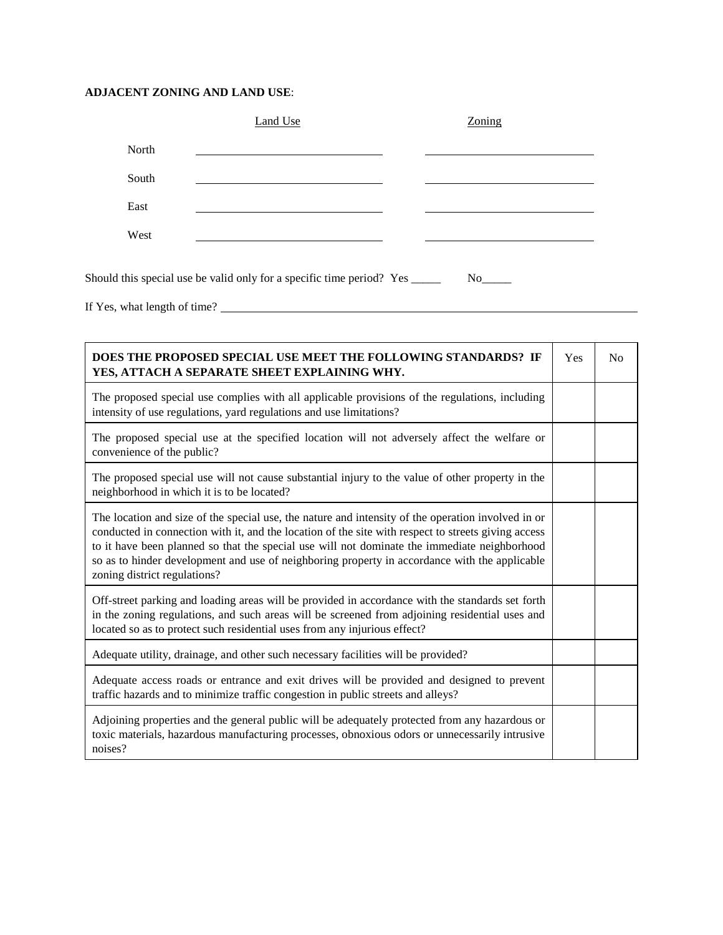# **ADJACENT ZONING AND LAND USE**:

| Zoning |             |
|--------|-------------|
|        |             |
|        |             |
|        |             |
|        |             |
|        |             |
|        | No results. |

If Yes, what length of time?

| DOES THE PROPOSED SPECIAL USE MEET THE FOLLOWING STANDARDS? IF<br>YES, ATTACH A SEPARATE SHEET EXPLAINING WHY.                                                                                                                                                                                                                                                                                                                             |  | No |
|--------------------------------------------------------------------------------------------------------------------------------------------------------------------------------------------------------------------------------------------------------------------------------------------------------------------------------------------------------------------------------------------------------------------------------------------|--|----|
| The proposed special use complies with all applicable provisions of the regulations, including<br>intensity of use regulations, yard regulations and use limitations?                                                                                                                                                                                                                                                                      |  |    |
| The proposed special use at the specified location will not adversely affect the welfare or<br>convenience of the public?                                                                                                                                                                                                                                                                                                                  |  |    |
| The proposed special use will not cause substantial injury to the value of other property in the<br>neighborhood in which it is to be located?                                                                                                                                                                                                                                                                                             |  |    |
| The location and size of the special use, the nature and intensity of the operation involved in or<br>conducted in connection with it, and the location of the site with respect to streets giving access<br>to it have been planned so that the special use will not dominate the immediate neighborhood<br>so as to hinder development and use of neighboring property in accordance with the applicable<br>zoning district regulations? |  |    |
| Off-street parking and loading areas will be provided in accordance with the standards set forth<br>in the zoning regulations, and such areas will be screened from adjoining residential uses and<br>located so as to protect such residential uses from any injurious effect?                                                                                                                                                            |  |    |
| Adequate utility, drainage, and other such necessary facilities will be provided?                                                                                                                                                                                                                                                                                                                                                          |  |    |
| Adequate access roads or entrance and exit drives will be provided and designed to prevent<br>traffic hazards and to minimize traffic congestion in public streets and alleys?                                                                                                                                                                                                                                                             |  |    |
| Adjoining properties and the general public will be adequately protected from any hazardous or<br>toxic materials, hazardous manufacturing processes, obnoxious odors or unnecessarily intrusive<br>noises?                                                                                                                                                                                                                                |  |    |